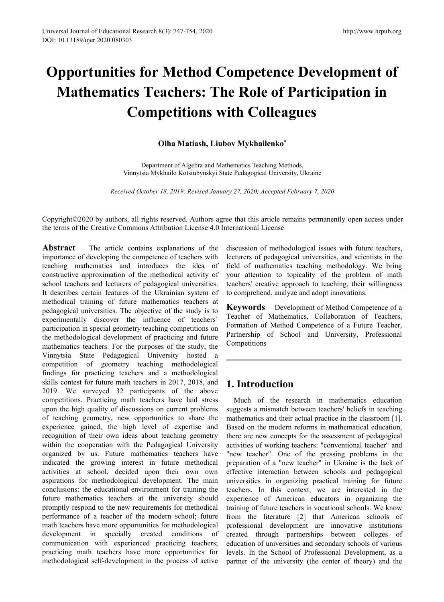# **Opportunities for Method Competence Development of Mathematics Teachers: The Role of Participation in Competitions with Colleagues ORET Method Competence Development of<br>
Solar Teachers: The Role of Participation in<br>
Competitions with Colleagues<br>
Olha Matiash, Liubov Mykhailenko<sup>\*</sup><br>
Department of Algebra and Mathematics Teaching Methods,<br>
Vinnytsia My RECORTMON IN COMPORTION STATE COMPORTION IN COMPORTIONS With Colleagues**<br>
Olha Matiash, Liubov Mykhailenko<sup>\*</sup><br>
Department of Algebra and Mathematics Teaching Methods,<br>
Vinnytsia Mykhailo Kotsiubynskyi State Pedagogical Un

Copyright©2020 by authors, all rights reserved. Authors agree that this article remains permanently open access under the terms of the Creative Commons Attribution License 4.0 International License

**Abstract** The article contains explanations of the importance of developing the competence of teachers with teaching mathematics and introduces the idea of constructive approximation of the methodical activity of school teachers and lecturers of pedagogical universities. It describes certain features of the Ukrainian system of methodical training of future mathematics teachers at pedagogical universities. The objective of the study is to experimentally discover the influence of teachers` participation in special geometry teaching competitions on the methodological development of practicing and future mathematics teachers. For the purposes of the study, the Vinnytsia State Pedagogical University hosted a competition of geometry teaching methodological findings for practicing teachers and a methodological skills contest for future math teachers in 2017, 2018, and 2019. We surveyed 32 participants of the above competitions. Practicing math teachers have laid stress upon the high quality of discussions on current problems of teaching geometry, new opportunities to share the experience gained, the high level of expertise and recognition of their own ideas about teaching geometry within the cooperation with the Pedagogical University organized by us. Future mathematics teachers have indicated the growing interest in future methodical activities at school, decided upon their own own aspirations for methodological development. The main conclusions: the educational environment for training the future mathematics teachers at the university should promptly respond to the new requirements for methodical performance of a teacher of the modern school; future math teachers have more opportunities for methodological development in specially created conditions of communication with experienced practicing teachers; practicing math teachers have more opportunities for methodological self-development in the process of active

discussion of methodological issues with future teachers, lecturers of pedagogical universities, and scientists in the field of mathematics teaching methodology. We bring your attention to topicality of the problem of math teachers' creative approach to teaching, their willingness to comprehend, analyze and adopt innovations.

**Keywords** Development of Method Competence of a Teacher of Mathematics, Collaboration of Teachers, Formation of Method Competence of a Future Teacher, Partnership of School and University, Professional Competitions

# **1. Introduction**

Much of the research in mathematics education suggests a mismatch between teachers' beliefs in teaching mathematics and their actual practice in the classroom [1]. Based on the modern reforms in mathematical education, there are new concepts for the assessment of pedagogical activities of working teachers: "conventional teacher" and "new teacher". One of the pressing problems in the preparation of a "new teacher" in Ukraine is the lack of effective interaction between schools and pedagogical universities in organizing practical training for future teachers. In this context, we are interested in the experience of American educators in organizing the training of future teachers in vocational schools. We know from the literature [2] that American schools of professional development are innovative institutions created through partnerships between colleges of education of universities and secondary schools of various levels. In the School of Professional Development, as a partner of the university (the center of theory) and the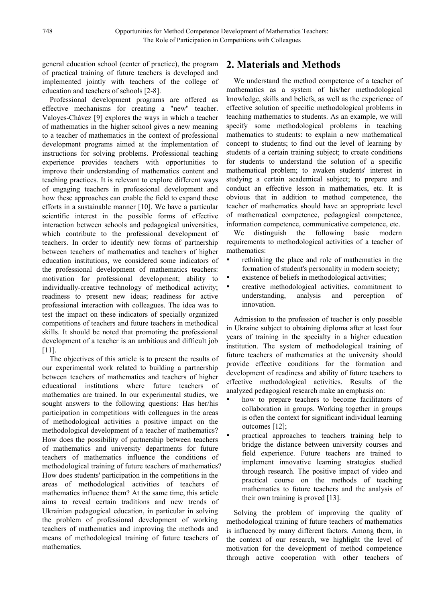general education school (center of practice), the program of practical training of future teachers is developed and implemented jointly with teachers of the college of education and teachers of schools [2-8].

Professional development programs are offered as effective mechanisms for creating a "new" teacher. Valoyes-Chávez [9] explores the ways in which a teacher of mathematics in the higher school gives a new meaning to a teacher of mathematics in the context of professional development programs aimed at the implementation of instructions for solving problems. Professional teaching experience provides teachers with opportunities to improve their understanding of mathematics content and teaching practices. It is relevant to explore different ways of engaging teachers in professional development and how these approaches can enable the field to expand these efforts in a sustainable manner [10]. We have a particular scientific interest in the possible forms of effective interaction between schools and pedagogical universities, which contribute to the professional development of We teachers. In order to identify new forms of partnership between teachers of mathematics and teachers of higher neducation institutions, we considered some indicators of  $\bullet$ education institutions, we considered some indicators of the professional development of mathematics teachers: motivation for professional development; ability to individually-creative technology of methodical activity; • readiness to present new ideas; readiness for active professional interaction with colleagues. The idea was to test the impact on these indicators of specially organized competitions of teachers and future teachers in methodical skills. It should be noted that promoting the professional development of a teacher is an ambitious and difficult job [11].

The objectives of this article is to present the results of our experimental work related to building a partnership between teachers of mathematics and teachers of higher educational institutions where future teachers of mathematics are trained. In our experimental studies, we sought answers to the following questions: Has her/his participation in competitions with colleagues in the areas of methodological activities a positive impact on the methodological development of a teacher of mathematics? How does the possibility of partnership between teachers of mathematics and university departments for future teachers of mathematics influence the conditions of methodological training of future teachers of mathematics? How does students' participation in the competitions in the areas of methodological activities of teachers of mathematics influence them? At the same time, this article aims to reveal certain traditions and new trends of Ukrainian pedagogical education, in particular in solving the problem of professional development of working teachers of mathematics and improving the methods and means of methodological training of future teachers of mathematics.

# **2. Materials and Methods**

We understand the method competence of a teacher of mathematics as a system of his/her methodological knowledge, skills and beliefs, as well as the experience of effective solution of specific methodological problems in teaching mathematics to students. As an example, we will specify some methodological problems in teaching mathematics to students: to explain a new mathematical concept to students; to find out the level of learning by students of a certain training subject; to create conditions for students to understand the solution of a specific mathematical problem; to awaken students' interest in studying a certain academical subject; to prepare and conduct an effective lesson in mathematics, etc. It is obvious that in addition to method competence, the teacher of mathematics should have an appropriate level of mathematical competence, pedagogical competence, information competence, communicative competence, etc.

distinguish the following basic modern requirements to methodological activities of a teacher of mathematics:

- rethinking the place and role of mathematics in the formation of student's personality in modern society;
- existence of beliefs in methodological activities;
- creative methodological activities, commitment to understanding, analysis and perception of innovation.

Admission to the profession of teacher is only possible in Ukraine subject to obtaining diploma after at least four years of training in the specialty in a higher education institution. The system of methodological training of future teachers of mathematics at the university should provide effective conditions for the formation and development of readiness and ability of future teachers to effective methodological activities. Results of the analyzed pedagogical research make an emphasis on:

- how to prepare teachers to become facilitators of collaboration in groups. Working together in groups is often the context for significant individual learning outcomes [12];
- practical approaches to teachers training help to bridge the distance between university courses and field experience. Future teachers are trained to implement innovative learning strategies studied through research. The positive impact of video and practical course on the methods of teaching mathematics to future teachers and the analysis of their own training is proved [13].

Solving the problem of improving the quality of methodological training of future teachers of mathematics is influenced by many different factors. Among them, in the context of our research, we highlight the level of motivation for the development of method competence through active cooperation with other teachers of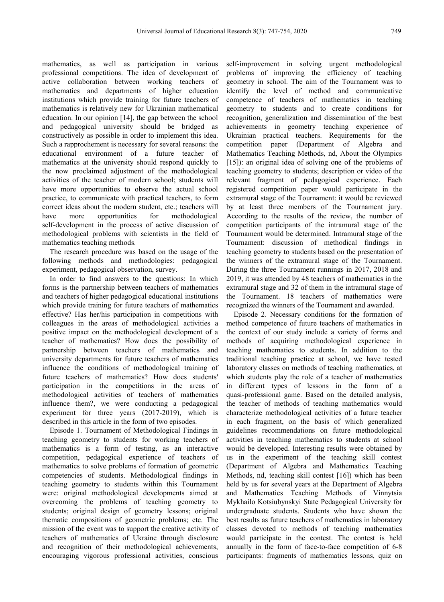mathematics, as well as participation in various professional competitions. The idea of development of active collaboration between working teachers of mathematics and departments of higher education institutions which provide training for future teachers of mathematics is relatively new for Ukrainian mathematical education. In our opinion [14], the gap between the school and pedagogical university should be bridged as constructively as possible in order to implement this idea. Such a rapprochement is necessary for several reasons: the educational environment of a future teacher of mathematics at the university should respond quickly to the now proclaimed adjustment of the methodological activities of the teacher of modern school; students will have more opportunities to observe the actual school practice, to communicate with practical teachers, to form correct ideas about the modern student, etc.; teachers will have more opportunities for methodological self-development in the process of active discussion of methodological problems with scientists in the field of mathematics teaching methods.

The research procedure was based on the usage of the following methods and methodologies: pedagogical experiment, pedagogical observation, survey.

In order to find answers to the questions: In which forms is the partnership between teachers of mathematics and teachers of higher pedagogical educational institutions which provide training for future teachers of mathematics effective? Has her/his participation in competitions with colleagues in the areas of methodological activities a positive impact on the methodological development of a teacher of mathematics? How does the possibility of partnership between teachers of mathematics and university departments for future teachers of mathematics influence the conditions of methodological training of future teachers of mathematics? How does students' participation in the competitions in the areas of methodological activities of teachers of mathematics influence them?, we were conducting a pedagogical experiment for three years (2017-2019), which is described in this article in the form of two episodes.

Episode 1. Tournament of Methodological Findings in teaching geometry to students for working teachers of mathematics is a form of testing, as an interactive competition, pedagogical experience of teachers of mathematics to solve problems of formation of geometric competencies of students. Methodological findings in teaching geometry to students within this Tournament were: original methodological developments aimed at overcoming the problems of teaching geometry to students; original design of geometry lessons; original thematic compositions of geometric problems; etc. The mission of the event was to support the creative activity of teachers of mathematics of Ukraine through disclosure and recognition of their methodological achievements, encouraging vigorous professional activities, conscious self-improvement in solving urgent methodological problems of improving the efficiency of teaching geometry in school. The aim of the Tournament was to identify the level of method and communicative competence of teachers of mathematics in teaching geometry to students and to create conditions for recognition, generalization and dissemination of the best achievements in geometry teaching experience of Ukrainian practical teachers. Requirements for the competition paper (Department of Algebra and Mathematics Teaching Methods, nd, About the Olympics [15]): an original idea of solving one of the problems of teaching geometry to students; description or video of the relevant fragment of pedagogical experience. Each registered competition paper would participate in the extramural stage of the Tournament: it would be reviewed by at least three members of the Tournament jury. According to the results of the review, the number of competition participants of the intramural stage of the Tournament would be determined. Intramural stage of the Tournament: discussion of methodical findings in teaching geometry to students based on the presentation of the winners of the extramural stage of the Tournament. During the three Tournament runnings in 2017, 2018 and 2019, it was attended by 48 teachers of mathematics in the extramural stage and 32 of them in the intramural stage of the Tournament. 18 teachers of mathematics were recognized the winners of the Tournament and awarded.

Episode 2. Necessary conditions for the formation of method competence of future teachers of mathematics in the context of our study include a variety of forms and methods of acquiring methodological experience in teaching mathematics to students. In addition to the traditional teaching practice at school, we have tested laboratory classes on methods of teaching mathematics, at which students play the role of a teacher of mathematics in different types of lessons in the form of a quasi-professional game. Based on the detailed analysis, the teacher of methods of teaching mathematics would characterize methodological activities of a future teacher in each fragment, on the basis of which generalized guidelines recommendations on future methodological activities in teaching mathematics to students at school would be developed. Interesting results were obtained by us in the experiment of the teaching skill contest (Department of Algebra and Mathematics Teaching Methods, nd, teaching skill contest [16]) which has been held by us for several years at the Department of Algebra and Mathematics Teaching Methods of Vinnytsia Mykhailo Kotsiubynskyi State Pedagogical University for undergraduate students. Students who have shown the best results as future teachers of mathematics in laboratory classes devoted to methods of teaching mathematics would participate in the contest. The contest is held annually in the form of face-to-face competition of 6-8 participants: fragments of mathematics lessons, quiz on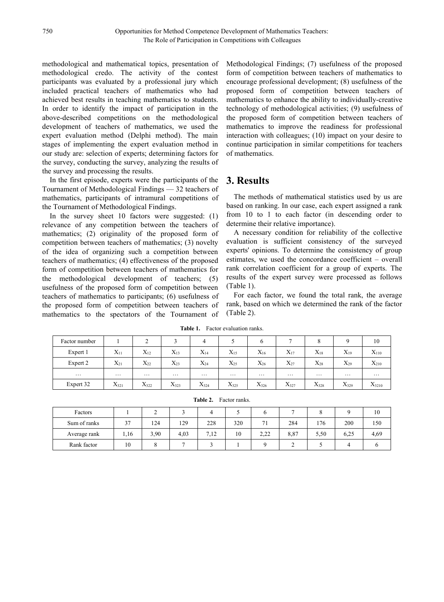methodological and mathematical topics, presentation of methodological credo. The activity of the contest participants was evaluated by a professional jury which included practical teachers of mathematics who had achieved best results in teaching mathematics to students. In order to identify the impact of participation in the above-described competitions on the methodological development of teachers of mathematics, we used the expert evaluation method (Delphi method). The main stages of implementing the expert evaluation method in our study are: selection of experts; determining factors for the survey, conducting the survey, analyzing the results of the survey and processing the results.

In the first episode, experts were the participants of the Tournament of Methodological Findings — 32 teachers of mathematics, participants of intramural competitions of the Tournament of Methodological Findings.

In the survey sheet 10 factors were suggested: (1) relevance of any competition between the teachers of mathematics; (2) originality of the proposed form of competition between teachers of mathematics; (3) novelty of the idea of organizing such a competition between teachers of mathematics; (4) effectiveness of the proposed form of competition between teachers of mathematics for the methodological development of teachers; (5) usefulness of the proposed form of competition between teachers of mathematics to participants; (6) usefulness of the proposed form of competition between teachers of mathematics to the spectators of the Tournament of Methodological Findings; (7) usefulness of the proposed form of competition between teachers of mathematics to encourage professional development; (8) usefulness of the proposed form of competition between teachers of mathematics to enhance the ability to individually-creative technology of methodological activities; (9) usefulness of the proposed form of competition between teachers of mathematics to improve the readiness for professional interaction with colleagues; (10) impact on your desire to continue participation in similar competitions for teachers of mathematics.

### **3. Results**

The methods of mathematical statistics used by us are based on ranking. In our case, each expert assigned a rank from 10 to 1 to each factor (in descending order to determine their relative importance).

A necessary condition for reliability of the collective evaluation is sufficient consistency of the surveyed experts' opinions. To determine the consistency of group estimates, we used the concordance coefficient – overall rank correlation coefficient for a group of experts. The results of the expert survey were processed as follows (Table 1).

For each factor, we found the total rank, the average rank, based on which we determined the rank of the factor (Table 2).

| Factor number |           | $\sim$<br>∼ |           |           |           | O         |           | $\Omega$<br>Ō       |           | 10         |
|---------------|-----------|-------------|-----------|-----------|-----------|-----------|-----------|---------------------|-----------|------------|
| Expert 1      | $X_{11}$  | $X_{12}$    | $X_{13}$  | $X_{14}$  | $X_{15}$  | $X_{16}$  | $X_{17}$  | $X_{18}$            | $X_{19}$  | $X_{110}$  |
| Expert 2      | $X_{21}$  | $X_{22}$    | $X_{23}$  | $X_{24}$  | $X_{25}$  | $X_{26}$  | $X_{27}$  | $X_{28}$            | $X_{29}$  | $X_{210}$  |
| $\cdots$      | $\cdots$  | $\cdots$    | $\cdots$  | $\cdots$  | $\cdots$  | $\cdots$  | $\cdots$  | $\cdot \cdot \cdot$ | $\cdots$  | $\cdots$   |
| Expert 32     | $X_{321}$ | $X_{322}$   | $X_{323}$ | $X_{324}$ | $X_{325}$ | $X_{326}$ | $X_{327}$ | $X_{328}$           | $X_{329}$ | $X_{3210}$ |

**Table 1.** Factor evaluation ranks.

|  | <b>Table 2.</b> Factor ranks. |
|--|-------------------------------|
|--|-------------------------------|

| Factors      |      |      |      |      |     | o           | −    |      |      | 10   |
|--------------|------|------|------|------|-----|-------------|------|------|------|------|
| Sum of ranks | 37   | 124  | 129  | 228  | 320 | 71          | 284  | 176  | 200  | 150  |
| Average rank | 1,16 | 3,90 | 4,03 | 7,12 | 10  | າາາ<br>4.44 | 8,87 | 5,50 | 6,25 | 4,69 |
| Rank factor  | 10   |      |      |      |     |             |      |      |      |      |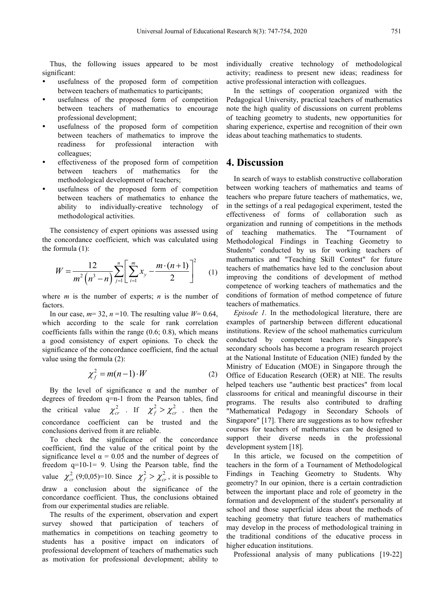Thus, the following issues appeared to be most significant:

- usefulness of the proposed form of competition active professional interaction with colleagues. between teachers of mathematics to participants;
- usefulness of the proposed form of competition between teachers of mathematics to encourage professional development;
- usefulness of the proposed form of competition between teachers of mathematics to improve the readiness for professional interaction with colleagues;
- effectiveness of the proposed form of competition between teachers of mathematics for the methodological development of teachers;
- usefulness of the proposed form of competition between teachers of mathematics to enhance the ability to individually-creative technology of methodological activities.

The consistency of expert opinions was assessed using the concordance coefficient, which was calculated using the formula (1):

$$
W = \frac{12}{m^2 \left(n^3 - n\right)} \sum_{j=1}^n \left[ \sum_{i=1}^m x_j - \frac{m \cdot (n+1)}{2} \right]^2
$$
 (1) tachers  
improvi  
compute

where *m* is the number of experts; *n* is the number of factors.

In our case,  $m=32$ ,  $n=10$ . The resulting value  $W=0.64$ , which according to the scale for rank correlation coefficients falls within the range (0.6; 0.8), which means a good consistency of expert opinions. To check the significance of the concordance coefficient, find the actual value using the formula (2):

$$
\chi_f^2 = m(n-1) \cdot W \tag{2}
$$

By the level of significance  $\alpha$  and the number of degrees of freedom q=n-1 from the Pearson tables, find the critical value  $\chi^2_{cr}$ . If  $\chi^2_{f} > \chi^2_{cr}$ , then the "Mathematical Pedagogy i concordance coefficient can be trusted and the conclusions derived from it are reliable.

To check the significance of the concordance coefficient, find the value of the critical point by the significance level  $\alpha = 0.05$  and the number of degrees of freedom q=10-1= 9. Using the Pearson table, find the value  $\chi^2_{cr}$  (9;0,05)=10. Since  $\chi^2_{f} > \chi^2_{cr}$ , it is possible to Findings in Teaching draw a conclusion about the significance of the concordance coefficient. Thus, the conclusions obtained from our experimental studies are reliable.

The results of the experiment, observation and expert survey showed that participation of teachers of mathematics in competitions on teaching geometry to students has a positive impact on indicators of professional development of teachers of mathematics such as motivation for professional development; ability to

individually creative technology of methodological activity; readiness to present new ideas; readiness for

In the settings of cooperation organized with the Pedagogical University, practical teachers of mathematics note the high quality of discussions on current problems of teaching geometry to students, new opportunities for sharing experience, expertise and recognition of their own ideas about teaching mathematics to students.

#### **4. Discussion**

 $=\frac{12}{m^2(n^3-n)}\sum_{j=1}^n\left[\sum_{i=1}^m x_j - \frac{m\cdot(n+1)}{2}\right]^2$  (1) therefore of mathematics have led to the conclusion about<br>improving the conditions of development of method 2 mathematics and "Teaching Skill Contest" for future  $W = \frac{12}{\sqrt{(\frac{3}{2}})} \sum_{n=1}^{n} \left| \sum_{n=1}^{m} x_n - \frac{m \cdot (n+1)}{2} \right|^2$  (1) teachers of mathematics have led to the conclusion about In search of ways to establish constructive collaboration between working teachers of mathematics and teams of teachers who prepare future teachers of mathematics, we, in the settings of a real pedagogical experiment, tested the effectiveness of forms of collaboration such as organization and running of competitions in the methods of teaching mathematics. The "Tournament of Methodological Findings in Teaching Geometry to Students" conducted by us for working teachers of competence of working teachers of mathematics and the conditions of formation of method competence of future teachers of mathematics.

 $\chi_f^2 = m(n-1) \cdot W$  (2) Office of Education Research (OER) at NIE. The results , then the "Mathematical Pedagogy in Secondary Schools of *Episode 1.* In the methodological literature, there are examples of partnership between different educational institutions. Review of the school mathematics curriculum conducted by competent teachers in Singapore's secondary schools has become a program research project at the National Institute of Education (NIE) funded by the Ministry of Education (MOE) in Singapore through the helped teachers use "authentic best practices" from local classrooms for critical and meaningful discourse in their programs. The results also contributed to drafting Singapore" [17]. There are suggestions as to how refresher courses for teachers of mathematics can be designed to support their diverse needs in the professional development system [18].

> In this article, we focused on the competition of teachers in the form of a Tournament of Methodological Findings in Teaching Geometry to Students. Why geometry? In our opinion, there is a certain contradiction between the important place and role of geometry in the formation and development of the student's personality at school and those superficial ideas about the methods of teaching geometry that future teachers of mathematics may develop in the process of methodological training in the traditional conditions of the educative process in higher education institutions.

Professional analysis of many publications [19-22]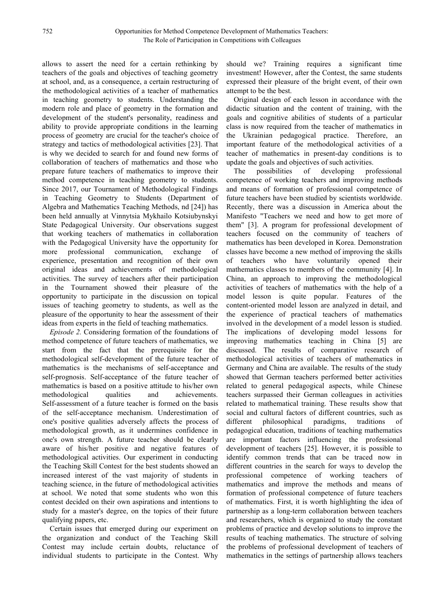allows to assert the need for a certain rethinking by teachers of the goals and objectives of teaching geometry at school, and, as a consequence, a certain restructuring of the methodological activities of a teacher of mathematics in teaching geometry to students. Understanding the modern role and place of geometry in the formation and development of the student's personality, readiness and ability to provide appropriate conditions in the learning process of geometry are crucial for the teacher's choice of strategy and tactics of methodological activities [23]. That is why we decided to search for and found new forms of collaboration of teachers of mathematics and those who prepare future teachers of mathematics to improve their method competence in teaching geometry to students. Since 2017, our Tournament of Methodological Findings in Teaching Geometry to Students (Department of Algebra and Mathematics Teaching Methods, nd [24]) has been held annually at Vinnytsia Mykhailo Kotsiubynskyi State Pedagogical University. Our observations suggest that working teachers of mathematics in collaboration with the Pedagogical University have the opportunity for more professional communication, exchange of experience, presentation and recognition of their own original ideas and achievements of methodological activities. The survey of teachers after their participation in the Tournament showed their pleasure of the opportunity to participate in the discussion on topical issues of teaching geometry to students, as well as the pleasure of the opportunity to hear the assessment of their ideas from experts in the field of teaching mathematics.

*Episode 2.* Considering formation of the foundations of method competence of future teachers of mathematics, we start from the fact that the prerequisite for the methodological self-development of the future teacher of mathematics is the mechanisms of self-acceptance and self-prognosis. Self-acceptance of the future teacher of mathematics is based on a positive attitude to his/her own methodological qualities and achievements. Self-assessment of a future teacher is formed on the basis of the self-acceptance mechanism. Underestimation of one's positive qualities adversely affects the process of methodological growth, as it undermines confidence in one's own strength. A future teacher should be clearly aware of his/her positive and negative features of methodological activities. Our experiment in conducting the Teaching Skill Contest for the best students showed an increased interest of the vast majority of students in teaching science, in the future of methodological activities at school. We noted that some students who won this contest decided on their own aspirations and intentions to study for a master's degree, on the topics of their future qualifying papers, etc.

Certain issues that emerged during our experiment on the organization and conduct of the Teaching Skill Contest may include certain doubts, reluctance of individual students to participate in the Contest. Why

should we? Training requires a significant time investment! However, after the Contest, the same students expressed their pleasure of the bright event, of their own attempt to be the best.

Original design of each lesson in accordance with the didactic situation and the content of training, with the goals and cognitive abilities of students of a particular class is now required from the teacher of mathematics in the Ukrainian pedagogical practice. Therefore, an important feature of the methodological activities of a teacher of mathematics in present-day conditions is to update the goals and objectives of such activities.

possibilities of developing professional competence of working teachers and improving methods and means of formation of professional competence of future teachers have been studied by scientists worldwide. Recently, there was a discussion in America about the Manifesto "Teachers we need and how to get more of them" [3]. A program for professional development of teachers focused on the community of teachers of mathematics has been developed in Korea. Demonstration classes have become a new method of improving the skills of teachers who have voluntarily opened their mathematics classes to members of the community [4]. In China, an approach to improving the methodological activities of teachers of mathematics with the help of a model lesson is quite popular. Features of the content-oriented model lesson are analyzed in detail, and the experience of practical teachers of mathematics involved in the development of a model lesson is studied. The implications of developing model lessons for improving mathematics teaching in China [5] are discussed. The results of comparative research of methodological activities of teachers of mathematics in Germany and China are available. The results of the study showed that German teachers performed better activities related to general pedagogical aspects, while Chinese teachers surpassed their German colleagues in activities related to mathematical training. These results show that social and cultural factors of different countries, such as philosophical paradigms, traditions of pedagogical education, traditions of teaching mathematics are important factors influencing the professional development of teachers [25]. However, it is possible to identify common trends that can be traced now in different countries in the search for ways to develop the professional competence of working teachers of mathematics and improve the methods and means of formation of professional competence of future teachers of mathematics. First, it is worth highlighting the idea of partnership as a long-term collaboration between teachers and researchers, which is organized to study the constant problems of practice and develop solutions to improve the results of teaching mathematics. The structure of solving the problems of professional development of teachers of mathematics in the settings of partnership allows teachers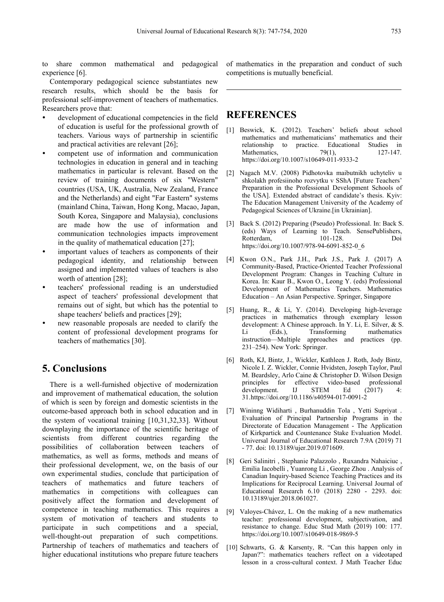to share common mathematical and pedagogical experience [6].

Contemporary pedagogical science substantiates new research results, which should be the basis for professional self-improvement of teachers of mathematics. Researchers prove that:

- development of educational competencies in the field of education is useful for the professional growth of teachers. Various ways of partnership in scientific and practical activities are relevant [26];
- competent use of information and communication technologies in education in general and in teaching mathematics in particular is relevant. Based on the [2] review of training documents of six "Western" countries (USA, UK, Australia, New Zealand, France and the Netherlands) and eight "Far Eastern" systems (mainland China, Taiwan, Hong Kong, Macao, Japan, South Korea, Singapore and Malaysia), conclusions are made how the use of information and  $[3]$ communication technologies impacts improvement in the quality of mathematical education [27];
- important values of teachers as components of their pedagogical identity, and relationship between assigned and implemented values of teachers is also worth of attention [28];
- teachers' professional reading is an understudied aspect of teachers' professional development that remains out of sight, but which has the potential to shape teachers' beliefs and practices [29];
- new reasonable proposals are needed to clarify the content of professional development programs for teachers of mathematics [30].

### **5. Conclusions**

There is a well-furnished objective of modernization and improvement of mathematical education, the solution of which is seen by foreign and domestic scientists in the outcome-based approach both in school education and in the system of vocational training [10,31,32,33]. Without downplaying the importance of the scientific heritage of scientists from different countries regarding the possibilities of collaboration between teachers of mathematics, as well as forms, methods and means of their professional development, we, on the basis of our own experimental studies, conclude that participation of teachers of mathematics and future teachers of mathematics in competitions with colleagues can positively affect the formation and development of competence in teaching mathematics. This requires a system of motivation of teachers and students to participate in such competitions and a special, well-thought-out preparation of such competitions. Partnership of teachers of mathematics and teachers of higher educational institutions who prepare future teachers

of mathematics in the preparation and conduct of such competitions is mutually beneficial.

#### **REFERENCES**

- [1] Beswick, K. (2012). Teachers' beliefs about school mathematics and mathematicians' mathematics and their relationship to practice. Educational Studies in Mathematics.  $79(1)$ .  $127-147$ . Mathematics,  $79(1)$ , https://doi.org/10.1007/s10649-011-9333-2
- Nagach M.V. (2008) Pidhotovka maibutnikh uchyteliv u shkolakh profesiinoho rozvytku v SShA [Future Teachers' Preparation in the Professional Development Schools of the USA]. Extended abstract of candidate's thesis. Kyiv: The Education Management University of the Academy of Pedagogical Sciences of Ukraine.[in Ukrainian].
- Back S. (2012) Preparing (Pseudo) Professional. In: Back S. (eds) Ways of Learning to Teach. SensePublishers, Rotterdam, 101-128. Doi https://doi.org/10.1007/978-94-6091-852-0\_6
- [4] Kwon O.N., Park J.H., Park J.S., Park J. (2017) A Community-Based, Practice-Oriented Teacher Professional Development Program: Changes in Teaching Culture in Korea. In: Kaur B., Kwon O., Leong Y. (eds) Professional Development of Mathematics Teachers. Mathematics Education – An Asian Perspective. Springer, Singapore
- [5] Huang, R., & Li, Y. (2014). Developing high-leverage practices in mathematics through exemplary lesson development: A Chinese approach. In Y. Li, E. Silver, & S. (Eds.), Transforming mathematics instruction—Multiple approaches and practices (pp.231–254). New York: Springer.
- [6] Roth, KJ, Bintz, J., Wickler, Kathleen J. Roth, Jody Bintz, Nicole I. Z. Wickler, Connie Hvidsten, Joseph Taylor, Paul M. Beardsley, Arlo Caine & Christopher D. Wilson Design effective video-based professional<br>IJ STEM Ed (2017) 4: development. IJ STEM Ed (2017) 4: 31.https://doi.org/10.1186/s40594-017-0091-2
- Wininng Widiharti, Burhanuddin Tola, Yetti Supriyat. Evaluation of Principal Partnership Programs in the Directorate of Education Management - The Application of Kirkpartick and Countenance Stake Evaluation Model. Universal Journal of Educational Research 7.9A (2019) 71 - 77. doi: 10.13189/ujer.2019.071609.
- [8] Geri Salinitri , Stephanie Palazzolo , Ruxandra Nahaiciuc , Emilia Iacobelli, Yuanrong Li, George Zhou. Analysis of Canadian Inquiry-based Science Teaching Practices and its Implications for Reciprocal Learning. Universal Journal of Educational Research 6.10 (2018) 2280 - 2293. doi: 10.13189/ujer.2018.061027.
- [9] Valoyes-Chávez, L. On the making of a new mathematics teacher: professional development, subjectivation, and resistance to change. Educ Stud Math (2019) 100: 177. https://doi.org/10.1007/s10649-018-9869-5
- [10] Schwarts, G. & Karsenty, R. "Can this happen only in Japan?": mathematics teachers reflect on a videotaped lesson in a cross-cultural context. J Math Teacher Educ